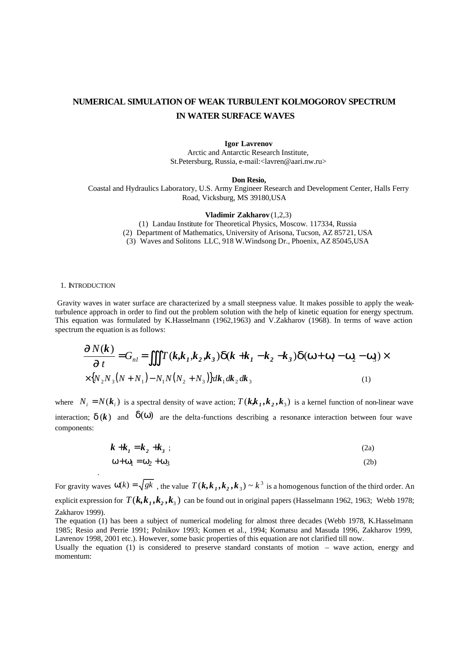# **NUMERICAL SIMULATION OF WEAK TURBULENT KOLMOGOROV SPECTRUM IN WATER SURFACE WAVES**

### **Igor Lavrenov**

Arctic and Antarctic Research Institute, St.Petersburg, Russia, e-mail:<lavren@aari.nw.ru>

#### **Don Resio,**

Coastal and Hydraulics Laboratory, U.S. Army Engineer Research and Development Center, Halls Ferry Road, Vicksburg, MS 39180,USA

**Vladimir Zakharov** (1,2,3)

(1) Landau Institute for Theoretical Physics, Moscow. 117334, Russia (2) Department of Mathematics, University of Arisona, Tucson, AZ 85721, USA (3) Waves and Solitons LLC, 918 W.Windsong Dr., Phoenix, AZ 85045,USA

### 1. INTRODUCTION

.

 Gravity waves in water surface are characterized by a small steepness value. It makes possible to apply the weakturbulence approach in order to find out the problem solution with the help of kinetic equation for energy spectrum. This equation was formulated by K.Hasselmann (1962,1963) and V.Zakharov (1968). In terms of wave action spectrum the equation is as follows:

$$
\frac{\P N(k)}{\P t} = G_{nl} = \iiint T(k, k_1, k_2, k_3) \, d(k + k_1 - k_2 - k_3) \, d(w + w_1 - w_2 - w_3) \times
$$
\n
$$
\times \{N_2 N_3 (N + N_1) - N_1 N (N_2 + N_3) \} dk_1 dk_2 dk_3 \tag{1}
$$

where  $N_i = N(k_i)$  is a spectral density of wave action;  $T(k, k_1, k_2, k_3)$  is a kernel function of non-linear wave interaction;  $d(k)$  and  $\delta(\omega)$  are the delta-functions describing a resonance interaction between four wave components:

$$
\mathbf{k} + \mathbf{k}_1 = \mathbf{k}_2 + \mathbf{k}_3 \tag{2a}
$$

$$
\omega + \omega_1 = \omega_2 + \omega_3 \tag{2b}
$$

For gravity waves  $\omega(k) = \sqrt{gk}$ , the value  $T(k, k_1, k_2, k_3) \sim k^3$  is a homogenous function of the third order. An explicit expression for  $T(k, k_1, k_2, k_3)$  can be found out in original papers (Hasselmann 1962, 1963; Webb 1978; Zakharov 1999).

The equation (1) has been a subject of numerical modeling for almost three decades (Webb 1978, K.Hasselmann 1985; Resio and Perrie 1991; Polnikov 1993; Komen et al., 1994; Komatsu and Masuda 1996, Zakharov 1999, Lavrenov 1998, 2001 etc.). However, some basic properties of this equation are not clarified till now.

Usually the equation (1) is considered to preserve standard constants of motion – wave action, energy and momentum: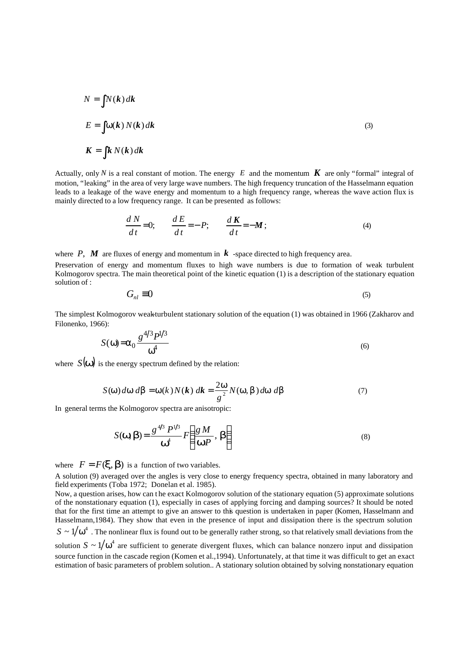$$
N = \int N(k) dk
$$
  
\n
$$
E = \int w(k) N(k) dk
$$
  
\n
$$
K = \int k N(k) dk
$$
 (3)

Actually, only *N* is a real constant of motion. The energy  $E$  and the momentum  $\boldsymbol{K}$  are only "formal" integral of motion, "leaking" in the area of very large wave numbers. The high frequency truncation of the Hasselmann equation leads to a leakage of the wave energy and momentum to a high frequency range, whereas the wave action flux is mainly directed to a low frequency range. It can be presented as follows:

$$
\frac{dN}{dt} = 0; \qquad \frac{dE}{dt} = -P; \qquad \frac{dK}{dt} = -M; \tag{4}
$$

where  $P$ ,  $M$  are fluxes of energy and momentum in  $k$  -space directed to high frequency area.

Preservation of energy and momentum fluxes to high wave numbers is due to formation of weak turbulent Kolmogorov spectra. The main theoretical point of the kinetic equation (1) is a description of the stationary equation solution of :

$$
G_{nl} \equiv 0 \tag{5}
$$

The simplest Kolmogorov weak-turbulent stationary solution of the equation (1) was obtained in 1966 (Zakharov and Filonenko, 1966):  $410 - 310$ 

$$
S(\omega) = \alpha_0 \frac{g^{4/3} P^{1/3}}{\omega^4} \tag{6}
$$

where  $S(\mathbf{w})$  is the energy spectrum defined by the relation:

$$
S(\mathbf{w}) d\mathbf{w} d\mathbf{b} = \mathbf{w}(k) N(\mathbf{k}) d\mathbf{k} = \frac{2\mathbf{w}}{g^2} N(\mathbf{w}, \mathbf{b}) d\mathbf{w} d\mathbf{b}
$$
(7)

In general terms the Kolmogorov spectra are anisotropic:

$$
S(\mathbf{w}, \mathbf{b}) = \frac{g^{4/3} P^{1/3}}{\mathbf{w}^4} F\left(\frac{g M}{\mathbf{w} P}, \mathbf{b}\right)
$$
(8)

where  $F = F(\mathbf{x}, \mathbf{b})$  is a function of two variables.

A solution (9) averaged over the angles is very close to energy frequency spectra, obtained in many laboratory and field experiments (Toba 1972; Donelan et al. 1985).

Now, a question arises, how can t he exact Kolmogorov solution of the stationary equation (5) approximate solutions of the nonstationary equation (1), especially in cases of applying forcing and damping sources? It should be noted that for the first time an attempt to give an answer to this question is undertaken in paper (Komen, Hasselmann and Hasselmann,1984). They show that even in the presence of input and dissipation there is the spectrum solution  $S \sim 1/\omega^4$  . The nonlinear flux is found out to be generally rather strong, so that relatively small deviations from the solution  $S \sim 1/\omega^4$  are sufficient to generate divergent fluxes, which can balance nonzero input and dissipation source function in the cascade region (Komen et al.,1994). Unfortunately, at that time it was difficult to get an exact estimation of basic parameters of problem solution.. A stationary solution obtained by solving nonstationary equation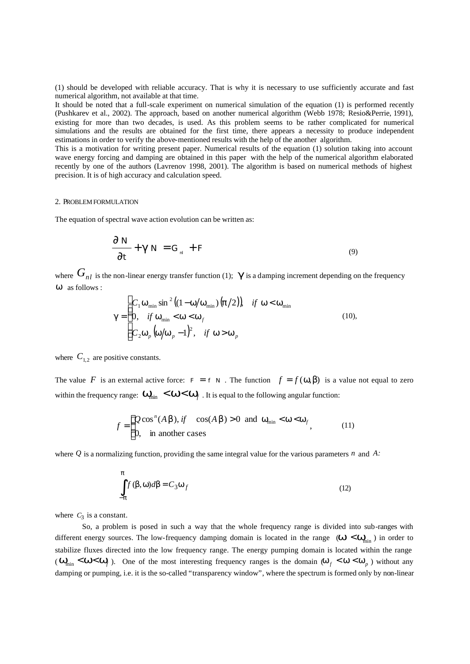(1) should be developed with reliable accuracy. That is why it is necessary to use sufficiently accurate and fast numerical algorithm, not available at that time.

It should be noted that a full-scale experiment on numerical simulation of the equation (1) is performed recently (Pushkarev et al., 2002). The approach, based on another numerical algorithm (Webb 1978; Resio&Perrie, 1991), existing for more than two decades, is used. As this problem seems to be rather complicated for numerical simulations and the results are obtained for the first time, there appears a necessity to produce independent estimations in order to verify the above-mentioned results with the help of the another algorithm.

This is a motivation for writing present paper. Numerical results of the equation (1) solution taking into account wave energy forcing and damping are obtained in this paper with the help of the numerical algorithm elaborated recently by one of the authors (Lavrenov 1998, 2001). The algorithm is based on numerical methods of highest precision. It is of high accuracy and calculation speed.

# 2. PROBLEM FORMULATION

The equation of spectral wave action evolution can be written as:

$$
\frac{\partial N}{\partial t} + \mathbf{g} N = G_{\mu} + F
$$
\n(9)

where  $G_{nl}$  is the non-linear energy transfer function (1);  $g$  is a damping increment depending on the frequency *w* as follows :

$$
\mathbf{g} = \begin{cases} C_1 \mathbf{w}_{\min} \sin^2 ((1 - \mathbf{w}/\mathbf{w}_{\min}) (\mathbf{p}/2)) & \text{if } \mathbf{w} < \mathbf{w}_{\min} \\ 0, & \text{if } \mathbf{w}_{\min} < \mathbf{w} < \mathbf{w}_f \\ C_2 \mathbf{w}_p (\mathbf{w}/\mathbf{w}_p - 1)^2, & \text{if } \mathbf{w} > \mathbf{w}_p \end{cases}
$$
(10),

where  $C_{1,2}$  are positive constants.

The value *F* is an external active force:  $F = f N$ . The function  $f = f(\omega, \beta)$  is a value not equal to zero within the frequency range:  $W_{\text{min}} < W < W_f$ . It is equal to the following angular function:

$$
f = \begin{cases} Q\cos^{n}(A\mathbf{b}), if \cos(A\mathbf{b}) > 0 \text{ and } \mathbf{w}_{\min} < \mathbf{w} < \mathbf{w}_{f} \\ 0, \text{ in another cases} \end{cases}
$$
 (11)

where *Q* is a normalizing function, providing the same integral value for the various parameters *n* and *A:* 

$$
\int_{-\pi}^{\pi} f(\beta, \omega) d\beta = C_3 \omega_f
$$
\n(12)

where  $C_3$  is a constant.

So, a problem is posed in such a way that the whole frequency range is divided into sub-ranges with different energy sources. The low-frequency damping domain is located in the range ( $W < W_{\text{min}}$ ) in order to stabilize fluxes directed into the low frequency range. The energy pumping domain is located within the range  $(W_{\min} < W < W_f)$ . One of the most interesting frequency ranges is the domain  $(W_f < W < W_p)$  without any damping or pumping, i.e. it is the so-called "transparency window", where the spectrum is formed only by non-linear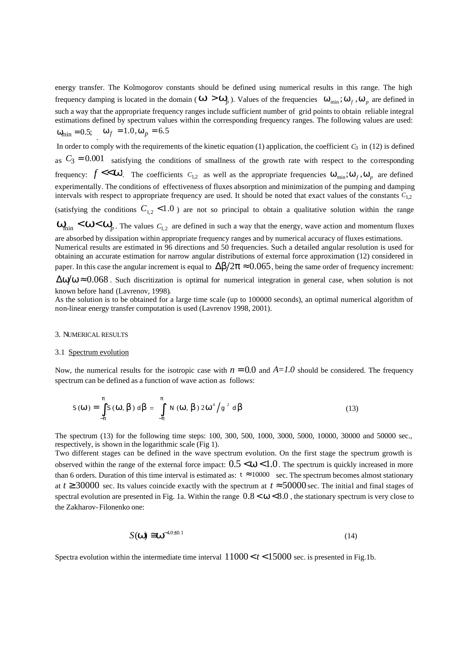energy transfer. The Kolmogorov constants should be defined using numerical results in this range. The high frequency damping is located in the domain ( $W > W_p$ ). Values of the frequencies  $\omega_{min}$ ;  $\omega_f$ ,  $\omega_p$  are defined in such a way that the appropriate frequency ranges include sufficient number of grid points to obtain reliable integral estimations defined by spectrum values within the corresponding frequency ranges. The following values are used:  $\omega_{\text{min}} = 0.5; \quad \omega_f = 1.0, \omega_p = 6.5$ 

In order to comply with the requirements of the kinetic equation (1) application, the coefficient  $C_3$  in (12) is defined as  $C_3 = 0.001$  satisfying the conditions of smallness of the growth rate with respect to the corresponding frequency:  $f \ll W$ . The coefficients  $C_{1,2}$  as well as the appropriate frequencies  $W_{\min}$ ;  $W_f$ ,  $W_p$  are defined experimentally. The conditions of effectiveness of fluxes absorption and minimization of the pumping and damping intervals with respect to appropriate frequency are used. It should be noted that exact values of the constants *C*1,2

(satisfying the conditions  $C_{1,2}$  < 1.0) are not so principal to obtain a qualitative solution within the range

 $W_{\text{min}}$   $\lt W \lt W_p$ . The values  $C_{1,2}$  are defined in such a way that the energy, wave action and momentum fluxes are absorbed by dissipation within appropriate frequency ranges and by numerical accuracy of fluxes estimations.

Numerical results are estimated in 96 directions and 50 frequencies. Such a detailed angular resolution is used for obtaining an accurate estimation for narrow angular distributions of external force approximation (12) considered in paper. In this case the angular increment is equal to  $\Delta\beta/2\pi \approx 0.065$ , being the same order of frequency increment:

 $\Delta\omega/\omega \approx 0.068$ . Such discritization is optimal for numerical integration in general case, when solution is not known before hand (Lavrenov, 1998).

As the solution is to be obtained for a large time scale (up to 100000 seconds), an optimal numerical algorithm of non-linear energy transfer computation is used (Lavrenov 1998, 2001).

## 3. NUMERICAL RESULTS

### 3.1 Spectrum evolution

Now, the numerical results for the isotropic case with  $n = 0.0$  and  $A=1.0$  should be considered. The frequency spectrum can be defined as a function of wave action as follows:

$$
S(\mathbf{W}) = \int_{-p}^{p} S(\mathbf{W}, \mathbf{b}) d\mathbf{b} = \int_{-p}^{p} N(\mathbf{W}, \mathbf{b}) 2\mathbf{W}^{4} / g^{2} d\mathbf{b}
$$
 (13)

The spectrum (13) for the following time steps: 100, 300, 500, 1000, 3000, 5000, 10000, 30000 and 50000 sec., respectively, is shown in the logarithmic scale (Fig 1).

Two different stages can be defined in the wave spectrum evolution. On the first stage the spectrum growth is observed within the range of the external force impact:  $0.5 < w < 1.0$ . The spectrum is quickly increased in more than 6 orders. Duration of this time interval is estimated as:  $t \approx 10000$  sec. The spectrum becomes almost stationary at  $t \ge 30000$  sec. Its values coincide exactly with the spectrum at  $t \approx 50000$  sec. The initial and final stages of spectral evolution are presented in Fig. 1a. Within the range  $0.8 < w < 8.0$ , the stationary spectrum is very close to the Zakharov- Filonenko one:

$$
S(\mathbf{w}) \cong \mathbf{w}^{-4.0 \pm 0.1}
$$
 (14)

Spectra evolution within the intermediate time interval  $11000 < t < 15000$  sec. is presented in Fig.1b.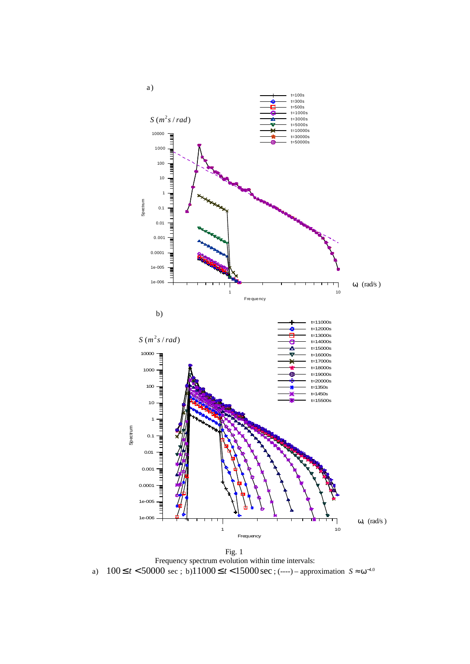

Fig. 1 Frequency spectrum evolution within time intervals: a)  $100 \le t < 50000$  sec; b)11000≤t < 15000 sec; (----) – approximation  $S \approx \omega^{-4.0}$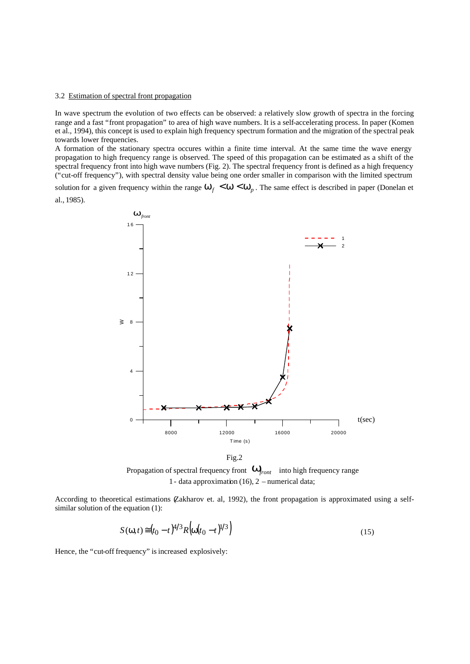### 3.2 Estimation of spectral front propagation

In wave spectrum the evolution of two effects can be observed: a relatively slow growth of spectra in the forcing range and a fast "front propagation" to area of high wave numbers. It is a self-accelerating process. In paper (Komen et al., 1994), this concept is used to explain high frequency spectrum formation and the migration of the spectral peak towards lower frequencies.

A formation of the stationary spectra occures within a finite time interval. At the same time the wave energy propagation to high frequency range is observed. The speed of this propagation can be estimated as a shift of the spectral frequency front into high wave numbers (Fig. 2). The spectral frequency front is defined as a high frequency ("cut-off frequency"), with spectral density value being one order smaller in comparison with the limited spectrum

solution for a given frequency within the range  $w_f < w < w_p$ . The same effect is described in paper (Donelan et al., 1985).



Fig.2

Propagation of spectral frequency front  $W_{front}$  into high frequency range 1 - data approximation (16), 2 – numerical data;

According to theoretical estimations (Zakharov et. al, 1992), the front propagation is approximated using a selfsimilar solution of the equation (1):

$$
S(\omega, t) \approx (t_0 - t)^{4/3} R \left( \omega (t_0 - t)^{1/3} \right)
$$
\n(15)

Hence, the "cut-off frequency" is increased explosively: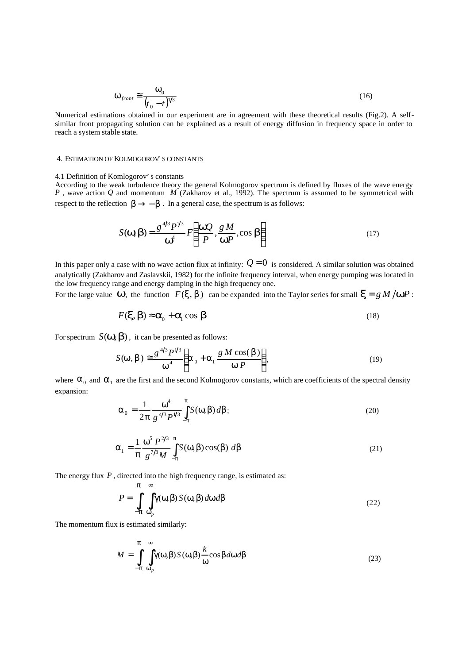$$
\omega_{front} \cong \frac{\omega_0}{(t_0 - t)^{1/3}}
$$
\n(16)

Numerical estimations obtained in our experiment are in agreement with these theoretical results (Fig.2). A selfsimilar front propagating solution can be explained as a result of energy diffusion in frequency space in order to reach a system stable state.

# 4. ESTIMATION OF KOLMOGOROV'S CONSTANTS

## 4.1 Definition of Komlogorov's constants

According to the weak turbulence theory the general Kolmogorov spectrum is defined by fluxes of the wave energy *P* , wave action *Q* and momentum *M* (Zakharov et al., 1992). The spectrum is assumed to be symmetrical with respect to the reflection  $\mathbf{b} \rightarrow -\mathbf{b}$ . In a general case, the spectrum is as follows:

$$
S(\mathbf{w}, \mathbf{b}) = \frac{g^{4/3} P^{4/3}}{\mathbf{w}^4} F\left(\frac{\mathbf{wQ}}{P}, \frac{g M}{\mathbf{w} P}, \cos \mathbf{b}\right)
$$
(17)

In this paper only a case with no wave action flux at infinity:  $Q = 0$  is considered. A similar solution was obtained analytically (Zakharov and Zaslavskii, 1982) for the infinite frequency interval, when energy pumping was located in the low frequency range and energy damping in the high frequency one.

For the large value *w*, the function  $F(x, b)$  can be expanded into the Taylor series for small  $x = g M / w P$ :

$$
F(\mathbf{x}, \mathbf{b}) \approx \mathbf{a}_0 + \mathbf{a}_1 \cos \mathbf{b}
$$
 (18)

For spectrum  $S(\mathbf{w}, \mathbf{b})$ , it can be presented as follows:

$$
S(\mathbf{w}, \mathbf{b}) \approx \frac{g^{4/3} P^{1/3}}{\mathbf{w}^4} \left( \mathbf{a}_0 + \mathbf{a}_1 \frac{g \, M \cos(\mathbf{b})}{\mathbf{w} P} \right),\tag{19}
$$

where  $\alpha_0$  and  $\alpha_1$  are the first and the second Kolmogorov constants, which are coefficients of the spectral density expansion:

$$
\alpha_0 = \frac{1}{2\pi} \frac{\omega^4}{g^{4/3} P^{4/3}} \int_{-\pi}^{\pi} S(\omega, \beta) d\beta;
$$
 (20)

$$
\alpha_1 = \frac{1}{\pi} \frac{\omega^5 P^{2/3}}{g^{7/3} M} \int_{-\pi}^{\pi} S(\omega, \beta) \cos(\beta) d\beta
$$
 (21)

The energy flux P, directed into the high frequency range, is estimated as:

$$
P = \int_{-\pi}^{\pi} \int_{\omega_p}^{\infty} \gamma(\omega, \beta) S(\omega, \beta) d\omega d\beta
$$
 (22)

The momentum flux is estimated similarly:

$$
M = \int_{-\pi}^{\pi} \int_{\omega_p}^{\infty} \gamma(\omega, \beta) S(\omega, \beta) \frac{k}{\omega} \cos \beta d\omega d\beta
$$
 (23)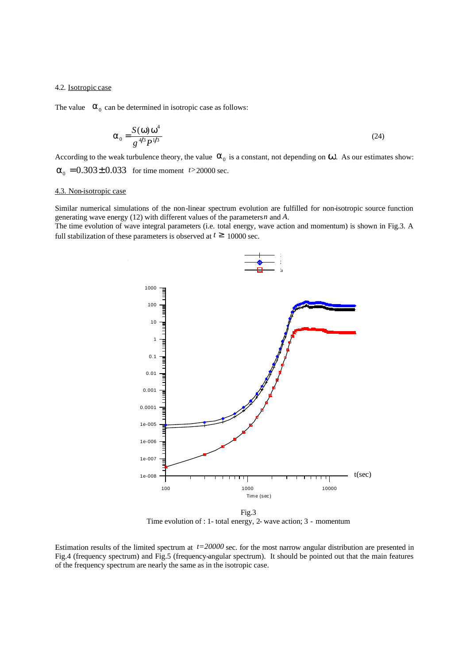### 4.2. Isotropic case

The value  $\alpha_0$  can be determined in isotropic case as follows:

$$
\alpha_0 = \frac{S(\omega)\omega^4}{g^{4/3}P^{1/3}}
$$
\n(24)

According to the weak turbulence theory, the value  $\alpha_0$  is a constant, not depending on **W**. As our estimates show:  $\alpha_0 = 0.303 \pm 0.033$  for time moment *t* > 20000 sec.

### 4.3. Non-isotropic case

Similar numerical simulations of the non-linear spectrum evolution are fulfilled for non-isotropic source function generating wave energy (12) with different values of the parameters *n* and *A*.

The time evolution of wave integral parameters (i.e. total energy, wave action and momentum) is shown in Fig.3. A full stabilization of these parameters is observed at  $t \geq 10000$  sec.



Fig.3 Time evolution of : 1- total energy, 2- wave action; 3 - momentum

Estimation results of the limited spectrum at *t=20000* sec. for the most narrow angular distribution are presented in Fig.4 (frequency spectrum) and Fig.5 (frequency-angular spectrum). It should be pointed out that the main features of the frequency spectrum are nearly the same as in the isotropic case.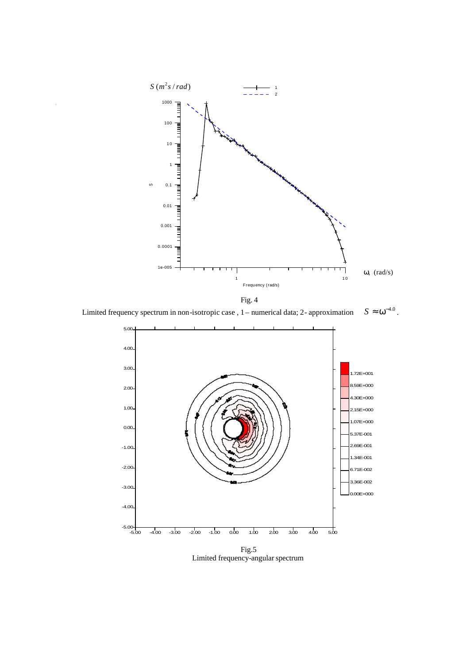

Fig. 4

Limited frequency spectrum in non-isotropic case, 1 – numerical data; 2- approximation  $S \approx \omega^{-4.0}$ .



Limited frequency-angular spectrum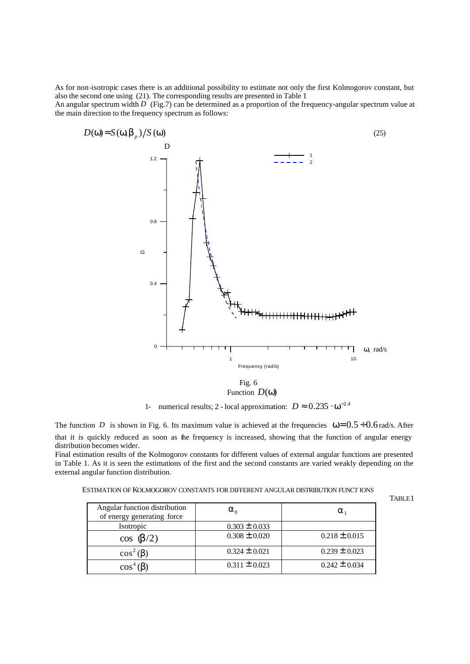As for non-isotropic cases there is an additional possibility to estimate not only the first Kolmogorov constant, but also the second one using (21). The corresponding results are presented in Table 1 An angular spectrum width *D* (Fig.7) can be determined as a proportion of the frequency-angular spectrum value at the main direction to the frequency spectrum as follows:



Function  $D(\omega)$ 

1- numerical results; 2 - local approximation:  $D \approx 0.235 \cdot \omega^{-2.4}$ 

TABLE1

The function *D* is shown in Fig. 6. Its maximum value is achieved at the frequencies  $\omega = 0.5 \div 0.6$  rad/s. After that it is quickly reduced as soon as the frequency is increased, showing that the function of angular energy distribution becomes wider.

Final estimation results of the Kolmogorov constants for different values of external angular functions are presented in Table 1. As it is seen the estimations of the first and the second constants are varied weakly depending on the external angular function distribution.

ESTIMATION OF KOLMOGOROV CONSTANTS FOR DIFFERENT ANGULAR DISTRIBUTION FUNCT IONS

| Angular function distribution<br>of energy generating force | $\alpha_{\alpha}$ | $\alpha_{1}$      |
|-------------------------------------------------------------|-------------------|-------------------|
| Isotropic                                                   | $0.303 \pm 0.033$ |                   |
| $\cos(\beta/2)$                                             | $0.308 \pm 0.020$ | $0.218 \pm 0.015$ |
| $\cos^2(\beta)$                                             | $0.324 \pm 0.021$ | $0.239 \pm 0.023$ |
| $\cos^4(\beta)$                                             | $0.311 \pm 0.023$ | $0.242 \pm 0.034$ |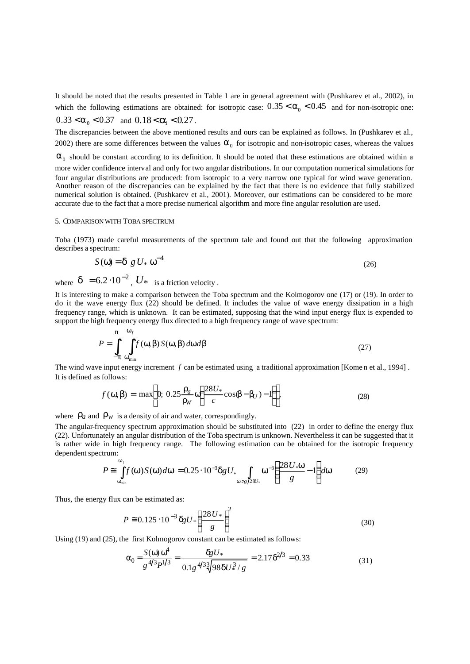It should be noted that the results presented in Table 1 are in general agreement with (Pushkarev et al., 2002), in which the following estimations are obtained: for isotropic case:  $0.35 < a_0 < 0.45$  and for non-isotropic one:

$$
0.33 < \mathbf{a}_0 < 0.37 \quad \text{and} \quad 0.18 < \mathbf{a}_1 < 0.27 \, .
$$

The discrepancies between the above mentioned results and ours can be explained as follows. In (Pushkarev et al., 2002) there are some differences between the values  $\alpha_0$  for isotropic and non-isotropic cases, whereas the values

 $\alpha_0$  should be constant according to its definition. It should be noted that these estimations are obtained within a more wider confidence interval and only for two angular distributions. In our computation numerical simulations for four angular distributions are produced: from isotropic to a very narrow one typical for wind wave generation. Another reason of the discrepancies can be explained by the fact that there is no evidence that fully stabilized numerical solution is obtained. (Pushkarev et al., 2001). Moreover, our estimations can be considered to be more accurate due to the fact that a more precise numerical algorithm and more fine angular resolution are used.

# 5. COMPARISON WITH TOBA SPECTRUM

Toba (1973) made careful measurements of the spectrum tale and found out that the following approximation describes a spectrum:

$$
S(\omega) = \delta g U_* \omega^{-4}
$$
 (26)

where  $\delta = 6.2 \cdot 10^{-2}$ ,  $U^*$  is a friction velocity.

It is interesting to make a comparison between the Toba spectrum and the Kolmogorov one (17) or (19). In order to do it the wave energy flux (22) should be defined. It includes the value of wave energy dissipation in a high frequency range, which is unknown. It can be estimated, supposing that the wind input energy flux is expended to support the high frequency energy flux directed to a high frequency range of wave spectrum:

$$
P = \int_{-\pi}^{\pi} \int_{\omega_{\min}}^{\omega_f} f(\omega, \beta) S(\omega, \beta) d\omega d\beta
$$
 (27)

The wind wave input energy increment *f* can be estimated using a traditional approximation [Kome n et al., 1994] . It is defined as follows:

$$
f(\omega,\beta) = \max\bigg\{0; 0.25\frac{\rho_a}{\rho_W}\omega\bigg(\frac{28U_*}{c}\cos\beta - \beta_U) - 1\bigg)\bigg\},\tag{28}
$$

where  $\rho_a$  and  $\rho_w$  is a density of air and water, correspondingly.

The angular-frequency spectrum approximation should be substituted into (22) in order to define the energy flux (22). Unfortunately an angular distribution of the Toba spectrum is unknown. Nevertheless it can be suggested that it is rather wide in high frequency range. The following estimation can be obtained for the isotropic frequency dependent spectrum:

$$
P \cong \int_{\mathbf{w}_{\min}}^{\mathbf{w}_f} f(\mathbf{w}) S(\mathbf{w}) d\mathbf{w} = 0.25 \cdot 10^{-3} \mathbf{dg} U_* \int_{\mathbf{w} > g/28U_*} \mathbf{w}^{-3} \left( \frac{28 U_* \mathbf{w}}{g} - 1 \right) d\mathbf{w} \tag{29}
$$

Thus, the energy flux can be estimated as:

$$
P \approx 0.125 \cdot 10^{-3} \, \delta g \, U \, * \left(\frac{28 \, U \, *}{g}\right)^2 \tag{30}
$$

Using (19) and (25), the first Kolmogorov constant can be estimated as follows:

$$
\alpha_0 = \frac{S(\omega)\,\omega^4}{g^{4/3}P^{1/3}} = \frac{\delta g \, U_*}{0.1g^{4/3}\sqrt[3]{98\delta U_*^3/g}} = 2.17\delta^{2/3} = 0.33\tag{31}
$$